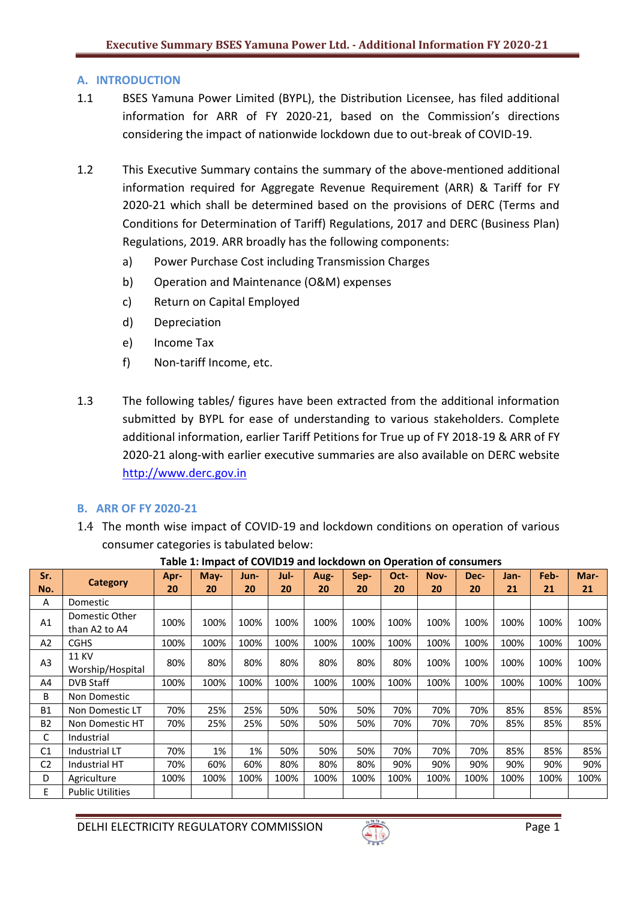# **A. INTRODUCTION**

- 1.1 BSES Yamuna Power Limited (BYPL), the Distribution Licensee, has filed additional information for ARR of FY 2020-21, based on the Commission's directions considering the impact of nationwide lockdown due to out-break of COVID-19.
- 1.2 This Executive Summary contains the summary of the above-mentioned additional information required for Aggregate Revenue Requirement (ARR) & Tariff for FY 2020-21 which shall be determined based on the provisions of DERC (Terms and Conditions for Determination of Tariff) Regulations, 2017 and DERC (Business Plan) Regulations, 2019. ARR broadly has the following components:
	- a) Power Purchase Cost including Transmission Charges
	- b) Operation and Maintenance (O&M) expenses
	- c) Return on Capital Employed
	- d) Depreciation
	- e) Income Tax
	- f) Non-tariff Income, etc.
- 1.3 The following tables/ figures have been extracted from the additional information submitted by BYPL for ease of understanding to various stakeholders. Complete additional information, earlier Tariff Petitions for True up of FY 2018-19 & ARR of FY 2020-21 along-with earlier executive summaries are also available on DERC website [http://www.derc.gov.in](http://www.derc.gov.in/)

# **B. ARR OF FY 2020-21**

1.4 The month wise impact of COVID-19 and lockdown conditions on operation of various consumer categories is tabulated below:

| Sr.            |                                  | Apr- | $May-$ | Jun- | Jul- | Aug- | Sep- | Oct- | Nov- | Dec- | Jan- | Feb- | Mar- |
|----------------|----------------------------------|------|--------|------|------|------|------|------|------|------|------|------|------|
| No.            | <b>Category</b>                  | 20   | 20     | 20   | 20   | 20   | 20   | 20   | 20   | 20   | 21   | 21   | 21   |
| Α              | Domestic                         |      |        |      |      |      |      |      |      |      |      |      |      |
| A1             | Domestic Other<br>than A2 to A4  | 100% | 100%   | 100% | 100% | 100% | 100% | 100% | 100% | 100% | 100% | 100% | 100% |
| A2             | <b>CGHS</b>                      | 100% | 100%   | 100% | 100% | 100% | 100% | 100% | 100% | 100% | 100% | 100% | 100% |
| A <sub>3</sub> | <b>11 KV</b><br>Worship/Hospital | 80%  | 80%    | 80%  | 80%  | 80%  | 80%  | 80%  | 100% | 100% | 100% | 100% | 100% |
| A4             | <b>DVB Staff</b>                 | 100% | 100%   | 100% | 100% | 100% | 100% | 100% | 100% | 100% | 100% | 100% | 100% |
| B              | Non Domestic                     |      |        |      |      |      |      |      |      |      |      |      |      |
| <b>B1</b>      | Non Domestic LT                  | 70%  | 25%    | 25%  | 50%  | 50%  | 50%  | 70%  | 70%  | 70%  | 85%  | 85%  | 85%  |
| <b>B2</b>      | Non Domestic HT                  | 70%  | 25%    | 25%  | 50%  | 50%  | 50%  | 70%  | 70%  | 70%  | 85%  | 85%  | 85%  |
| С              | Industrial                       |      |        |      |      |      |      |      |      |      |      |      |      |
| C1             | Industrial LT                    | 70%  | 1%     | 1%   | 50%  | 50%  | 50%  | 70%  | 70%  | 70%  | 85%  | 85%  | 85%  |
| C <sub>2</sub> | Industrial HT                    | 70%  | 60%    | 60%  | 80%  | 80%  | 80%  | 90%  | 90%  | 90%  | 90%  | 90%  | 90%  |
| D              | Agriculture                      | 100% | 100%   | 100% | 100% | 100% | 100% | 100% | 100% | 100% | 100% | 100% | 100% |
| E              | <b>Public Utilities</b>          |      |        |      |      |      |      |      |      |      |      |      |      |

#### **Table 1: Impact of COVID19 and lockdown on Operation of consumers**

DELHI ELECTRICITY REGULATORY COMMISSION Page 1

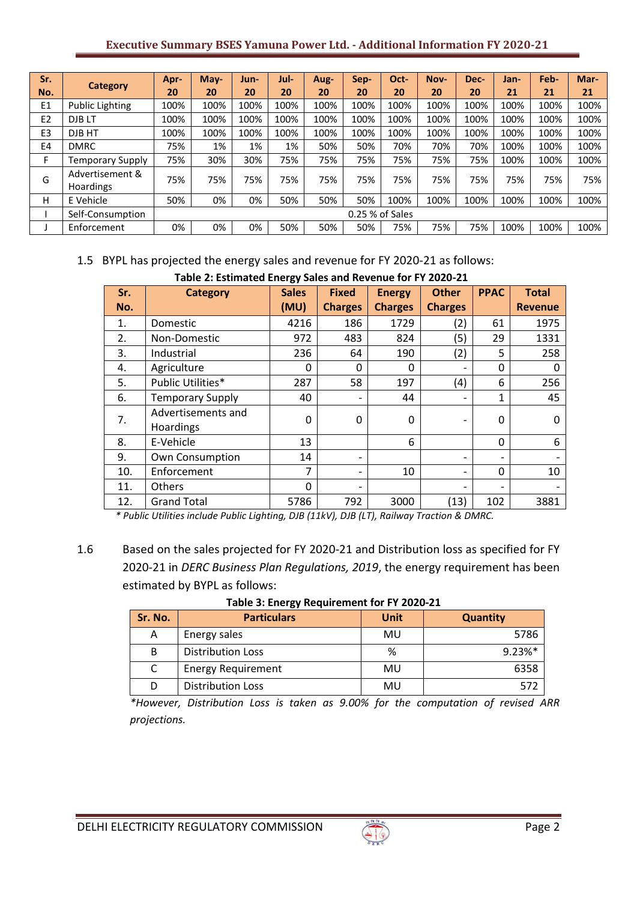### **Executive Summary BSES Yamuna Power Ltd. - Additional Information FY 2020-21**

| Sr.                                 |                                     | Apr- | May- | Jun- | Jul- | Aug- | Sep- | Oct- | Nov- | Dec- | Jan- | Feb- | Mar- |
|-------------------------------------|-------------------------------------|------|------|------|------|------|------|------|------|------|------|------|------|
| No.                                 | <b>Category</b>                     | 20   | 20   | 20   | 20   | 20   | 20   | 20   | 20   | 20   | 21   | 21   | 21   |
| E1                                  | <b>Public Lighting</b>              | 100% | 100% | 100% | 100% | 100% | 100% | 100% | 100% | 100% | 100% | 100% | 100% |
| E <sub>2</sub>                      | DJB <sub>LT</sub>                   | 100% | 100% | 100% | 100% | 100% | 100% | 100% | 100% | 100% | 100% | 100% | 100% |
| E <sub>3</sub>                      | DJB HT                              | 100% | 100% | 100% | 100% | 100% | 100% | 100% | 100% | 100% | 100% | 100% | 100% |
| E <sub>4</sub>                      | <b>DMRC</b>                         | 75%  | 1%   | 1%   | 1%   | 50%  | 50%  | 70%  | 70%  | 70%  | 100% | 100% | 100% |
|                                     | Temporary Supply                    | 75%  | 30%  | 30%  | 75%  | 75%  | 75%  | 75%  | 75%  | 75%  | 100% | 100% | 100% |
| G                                   | Advertisement &<br><b>Hoardings</b> | 75%  | 75%  | 75%  | 75%  | 75%  | 75%  | 75%  | 75%  | 75%  | 75%  | 75%  | 75%  |
| H                                   | E Vehicle                           | 50%  | 0%   | 0%   | 50%  | 50%  | 50%  | 100% | 100% | 100% | 100% | 100% | 100% |
| 0.25 % of Sales<br>Self-Consumption |                                     |      |      |      |      |      |      |      |      |      |      |      |      |
|                                     | Enforcement                         | 0%   | 0%   | 0%   | 50%  | 50%  | 50%  | 75%  | 75%  | 75%  | 100% | 100% | 100% |

# 1.5 BYPL has projected the energy sales and revenue for FY 2020-21 as follows:

|     | Table 2: Estimated Energy Sales and Revenue for FY 2020-21 |              |                |                |                          |                          |                |  |  |  |
|-----|------------------------------------------------------------|--------------|----------------|----------------|--------------------------|--------------------------|----------------|--|--|--|
| Sr. | <b>Category</b>                                            | <b>Sales</b> | <b>Fixed</b>   | <b>Energy</b>  | <b>Other</b>             | <b>PPAC</b>              | <b>Total</b>   |  |  |  |
| No. |                                                            | (MU)         | <b>Charges</b> | <b>Charges</b> | <b>Charges</b>           |                          | <b>Revenue</b> |  |  |  |
| 1.  | Domestic                                                   | 4216         | 186            | 1729           | (2)                      | 61                       | 1975           |  |  |  |
| 2.  | Non-Domestic                                               | 972          | 483            | 824            | (5)                      | 29                       | 1331           |  |  |  |
| 3.  | Industrial                                                 | 236          | 64             | 190            | (2)                      | 5                        | 258            |  |  |  |
| 4.  | Agriculture                                                | 0            | $\Omega$       | $\Omega$       | $\overline{\phantom{a}}$ | $\Omega$                 | 0              |  |  |  |
| 5.  | Public Utilities*                                          | 287          | 58             | 197            | (4)                      | 6                        | 256            |  |  |  |
| 6.  | <b>Temporary Supply</b>                                    | 40           |                | 44             |                          | $\mathbf{1}$             | 45             |  |  |  |
| 7.  | Advertisements and<br>Hoardings                            | $\Omega$     | $\Omega$       | 0              |                          | $\mathbf{0}$             | O              |  |  |  |
| 8.  | E-Vehicle                                                  | 13           |                | 6              |                          | 0                        | 6              |  |  |  |
| 9.  | Own Consumption                                            | 14           |                |                |                          | $\overline{\phantom{a}}$ |                |  |  |  |
| 10. | Enforcement                                                | 7            |                | 10             | $\overline{\phantom{a}}$ | $\Omega$                 | 10             |  |  |  |
| 11. | Others                                                     | $\mathbf 0$  |                |                |                          | $\overline{\phantom{a}}$ |                |  |  |  |
| 12. | <b>Grand Total</b>                                         | 5786         | 792            | 3000           | (13)                     | 102                      | 3881           |  |  |  |

*\* Public Utilities include Public Lighting, DJB (11kV), DJB (LT), Railway Traction & DMRC.*

1.6 Based on the sales projected for FY 2020-21 and Distribution loss as specified for FY 2020-21 in *DERC Business Plan Regulations, 2019*, the energy requirement has been estimated by BYPL as follows:

| Sr. No. | <b>Particulars</b>        | Unit | <b>Quantity</b> |
|---------|---------------------------|------|-----------------|
| А       | Energy sales              | MU   | 5786            |
| B       | <b>Distribution Loss</b>  | %    | 9.23%*          |
|         | <b>Energy Requirement</b> | MU   | 6358            |
|         | <b>Distribution Loss</b>  | MU   | -572            |

**Table 3: Energy Requirement for FY 2020-21**

*\*However, Distribution Loss is taken as 9.00% for the computation of revised ARR projections.*

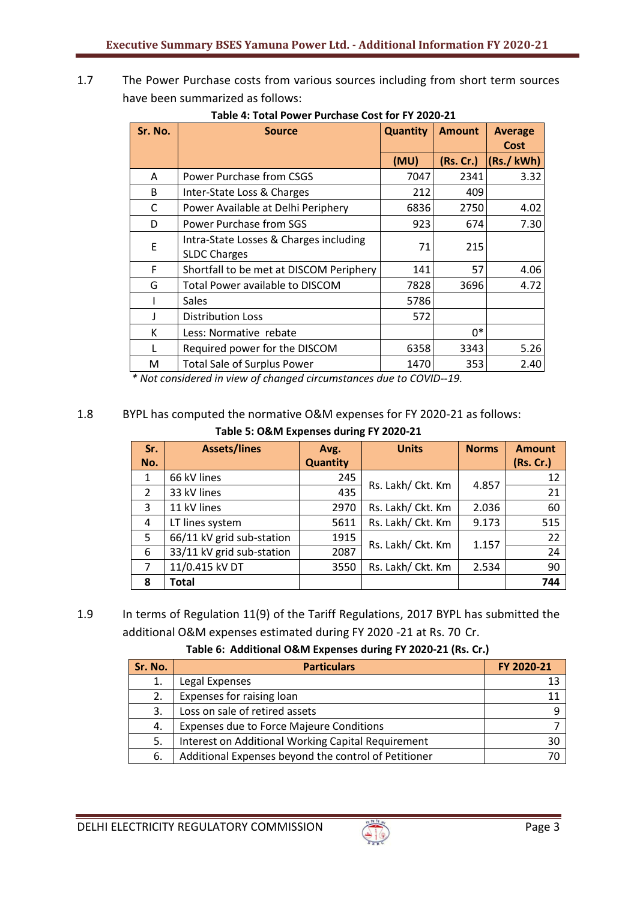1.7 The Power Purchase costs from various sources including from short term sources have been summarized as follows:

| Sr. No. | <b>Source</b>                                                 | <b>Quantity</b> | <b>Amount</b> | <b>Average</b><br><b>Cost</b> |
|---------|---------------------------------------------------------------|-----------------|---------------|-------------------------------|
|         |                                                               | (MU)            | (Rs. Cr.)     | (Ks./kWh)                     |
| A       | Power Purchase from CSGS                                      | 7047            | 2341          | 3.32                          |
| B       | Inter-State Loss & Charges                                    | 212             | 409           |                               |
| C       | Power Available at Delhi Periphery                            | 6836            | 2750          | 4.02                          |
| D       | Power Purchase from SGS                                       | 923             | 674           | 7.30                          |
| E       | Intra-State Losses & Charges including<br><b>SLDC Charges</b> | 71              | 215           |                               |
| F       | Shortfall to be met at DISCOM Periphery                       | 141             | 57            | 4.06                          |
| G       | Total Power available to DISCOM                               | 7828            | 3696          | 4.72                          |
|         | Sales                                                         | 5786            |               |                               |
| J       | <b>Distribution Loss</b>                                      | 572             |               |                               |
| К       | Less: Normative rebate                                        |                 | 0*            |                               |
| L       | Required power for the DISCOM                                 | 6358            | 3343          | 5.26                          |
| M       | <b>Total Sale of Surplus Power</b>                            | 1470            | 353           | 2.40                          |

**Table 4: Total Power Purchase Cost for FY 2020-21**

 *\* Not considered in view of changed circumstances due to COVID--19.* 

# 1.8 BYPL has computed the normative O&M expenses for FY 2020-21 as follows:

**Table 5: O&M Expenses during FY 2020-21**

| Sr. | <b>Assets/lines</b>       | Avg.            | <b>Units</b>      | <b>Norms</b> | <b>Amount</b> |
|-----|---------------------------|-----------------|-------------------|--------------|---------------|
| No. |                           | <b>Quantity</b> |                   |              | (Rs. Cr.)     |
| 1   | 66 kV lines               | 245             | Rs. Lakh/ Ckt. Km |              | 12            |
| 2   | 33 kV lines               | 435             |                   | 4.857        | 21            |
| 3   | 11 kV lines               | 2970            | Rs. Lakh/ Ckt. Km | 2.036        | 60            |
| 4   | LT lines system           | 5611            | Rs. Lakh/ Ckt. Km | 9.173        | 515           |
| 5   | 66/11 kV grid sub-station | 1915            | Rs. Lakh/ Ckt. Km |              | 22            |
| 6   | 33/11 kV grid sub-station | 2087            |                   | 1.157        | 24            |
| 7   | 11/0.415 kV DT            | 3550            | Rs. Lakh/ Ckt. Km | 2.534        | 90            |
| 8   | <b>Total</b>              |                 |                   |              | 744           |

# 1.9 In terms of Regulation 11(9) of the Tariff Regulations, 2017 BYPL has submitted the additional O&M expenses estimated during FY 2020 -21 at Rs. 70 Cr.

# **Table 6: Additional O&M Expenses during FY 2020-21 (Rs. Cr.)**

| Sr. No. | <b>Particulars</b>                                   | FY 2020-21 |
|---------|------------------------------------------------------|------------|
| 1.      | Legal Expenses                                       |            |
| 2.      | Expenses for raising loan                            |            |
| 3.      | Loss on sale of retired assets                       |            |
| 4.      | <b>Expenses due to Force Majeure Conditions</b>      |            |
| 5.      | Interest on Additional Working Capital Requirement   | ЗС         |
| 6.      | Additional Expenses beyond the control of Petitioner |            |

DELHI ELECTRICITY REGULATORY COMMISSION Page 3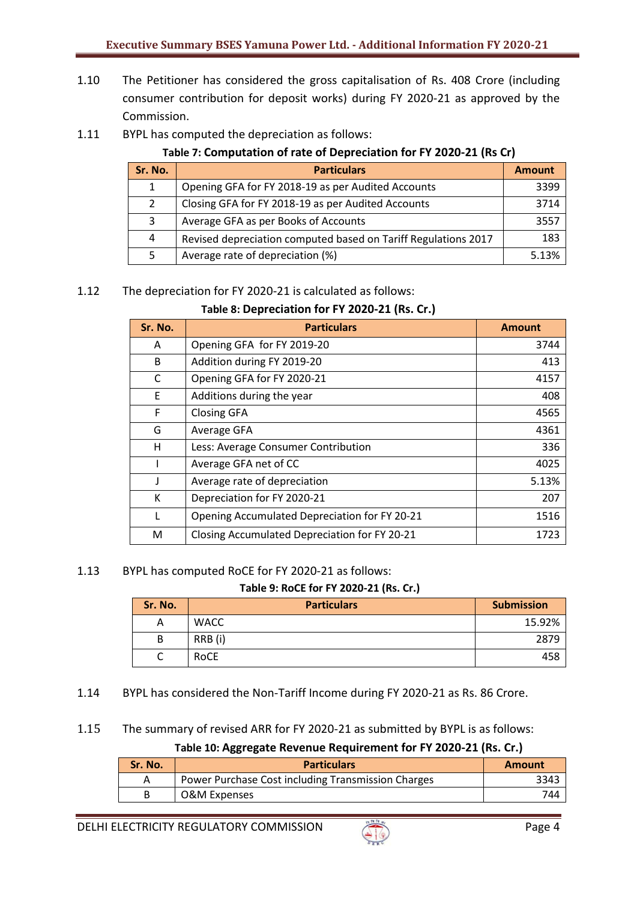- 1.10 The Petitioner has considered the gross capitalisation of Rs. 408 Crore (including consumer contribution for deposit works) during FY 2020-21 as approved by the Commission.
- 1.11 BYPL has computed the depreciation as follows:

# **Table 7: Computation of rate of Depreciation for FY 2020-21 (Rs Cr)**

| Sr. No. | <b>Particulars</b>                                             | <b>Amount</b> |
|---------|----------------------------------------------------------------|---------------|
| 1       | Opening GFA for FY 2018-19 as per Audited Accounts             | 3399          |
| 2       | Closing GFA for FY 2018-19 as per Audited Accounts             | 3714          |
| 3       | Average GFA as per Books of Accounts                           | 3557          |
| 4       | Revised depreciation computed based on Tariff Regulations 2017 | 183           |
| 5       | Average rate of depreciation (%)                               | 5.13%         |

### 1.12 The depreciation for FY 2020-21 is calculated as follows:

### **Table 8: Depreciation for FY 2020-21 (Rs. Cr.)**

| Sr. No. | <b>Particulars</b>                            | <b>Amount</b> |
|---------|-----------------------------------------------|---------------|
| A       | Opening GFA for FY 2019-20                    | 3744          |
| B       | Addition during FY 2019-20                    | 413           |
| C       | Opening GFA for FY 2020-21                    | 4157          |
| E       | Additions during the year                     | 408           |
| F       | Closing GFA                                   | 4565          |
| G       | Average GFA                                   | 4361          |
| н       | Less: Average Consumer Contribution           | 336           |
|         | Average GFA net of CC                         | 4025          |
| J       | Average rate of depreciation                  | 5.13%         |
| к       | Depreciation for FY 2020-21                   | 207           |
|         | Opening Accumulated Depreciation for FY 20-21 | 1516          |
| M       | Closing Accumulated Depreciation for FY 20-21 | 1723          |

#### 1.13 BYPL has computed RoCE for FY 2020-21 as follows:

#### **Table 9: RoCE for FY 2020-21 (Rs. Cr.)**

| Sr. No. | <b>Particulars</b> | <b>Submission</b> |
|---------|--------------------|-------------------|
| A       | <b>WACC</b>        | 15.92%            |
| B       | RRB (i)            | 2879              |
|         | RoCE               | 458               |

1.14 BYPL has considered the Non-Tariff Income during FY 2020-21 as Rs. 86 Crore.

#### 1.15 The summary of revised ARR for FY 2020-21 as submitted by BYPL is as follows:

#### **Table 10: Aggregate Revenue Requirement for FY 2020-21 (Rs. Cr.)**

| Sr. No. | <b>Particulars</b>                                 | Amount |
|---------|----------------------------------------------------|--------|
|         | Power Purchase Cost including Transmission Charges | 3343   |
|         | O&M Expenses                                       | 744    |